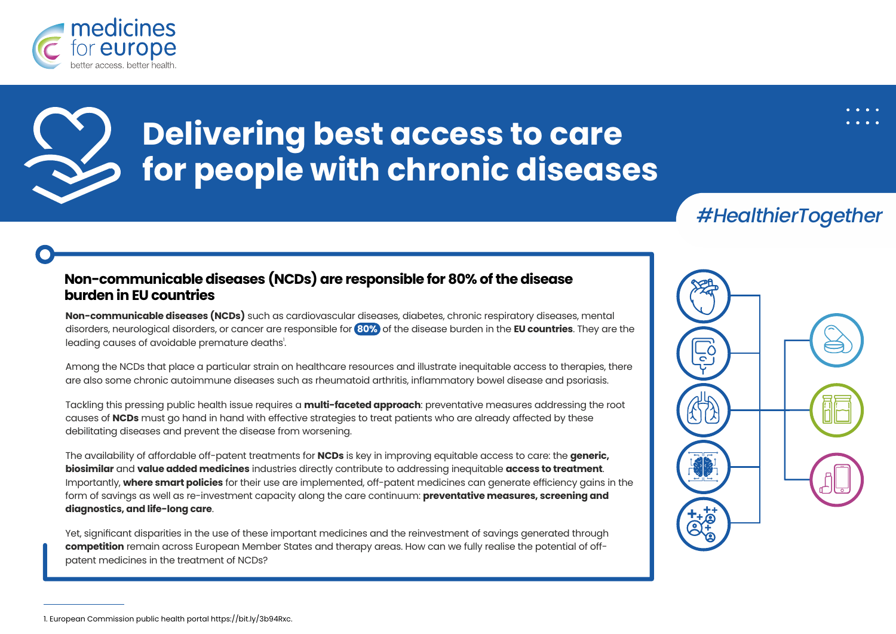

# **Delivering best access to care for people with chronic diseases**

*#HealthierTogether*

#### **Non-communicable diseases (NCDs) are responsible for 80% of the disease burden in EU countries**

**Non-communicable diseases (NCDs)** such as cardiovascular diseases, diabetes, chronic respiratory diseases, mental disorders, neurological disorders, or cancer are responsible for **80%** of the disease burden in the **EU countries**. They are the leading causes of avoidable premature deaths<sup>!</sup>.

Among the NCDs that place a particular strain on healthcare resources and illustrate inequitable access to therapies, there are also some chronic autoimmune diseases such as rheumatoid arthritis, inflammatory bowel disease and psoriasis.

Tackling this pressing public health issue requires a **multi-faceted approach**: preventative measures addressing the root causes of **NCDs** must go hand in hand with effective strategies to treat patients who are already affected by these debilitating diseases and prevent the disease from worsening.

The availability of affordable off-patent treatments for **NCDs** is key in improving equitable access to care: the **generic, biosimilar** and **value added medicines** industries directly contribute to addressing inequitable **access to treatment**. Importantly, **where smart policies** for their use are implemented, off-patent medicines can generate efficiency gains in the form of savings as well as re-investment capacity along the care continuum: **preventative measures, screening and diagnostics, and life-long care**.

Yet, significant disparities in the use of these important medicines and the reinvestment of savings generated through **competition** remain across European Member States and therapy areas. How can we fully realise the potential of offpatent medicines in the treatment of NCDs?



<sup>1.</sup> European Commission public health portal https://bit.ly/3b94Rxc.